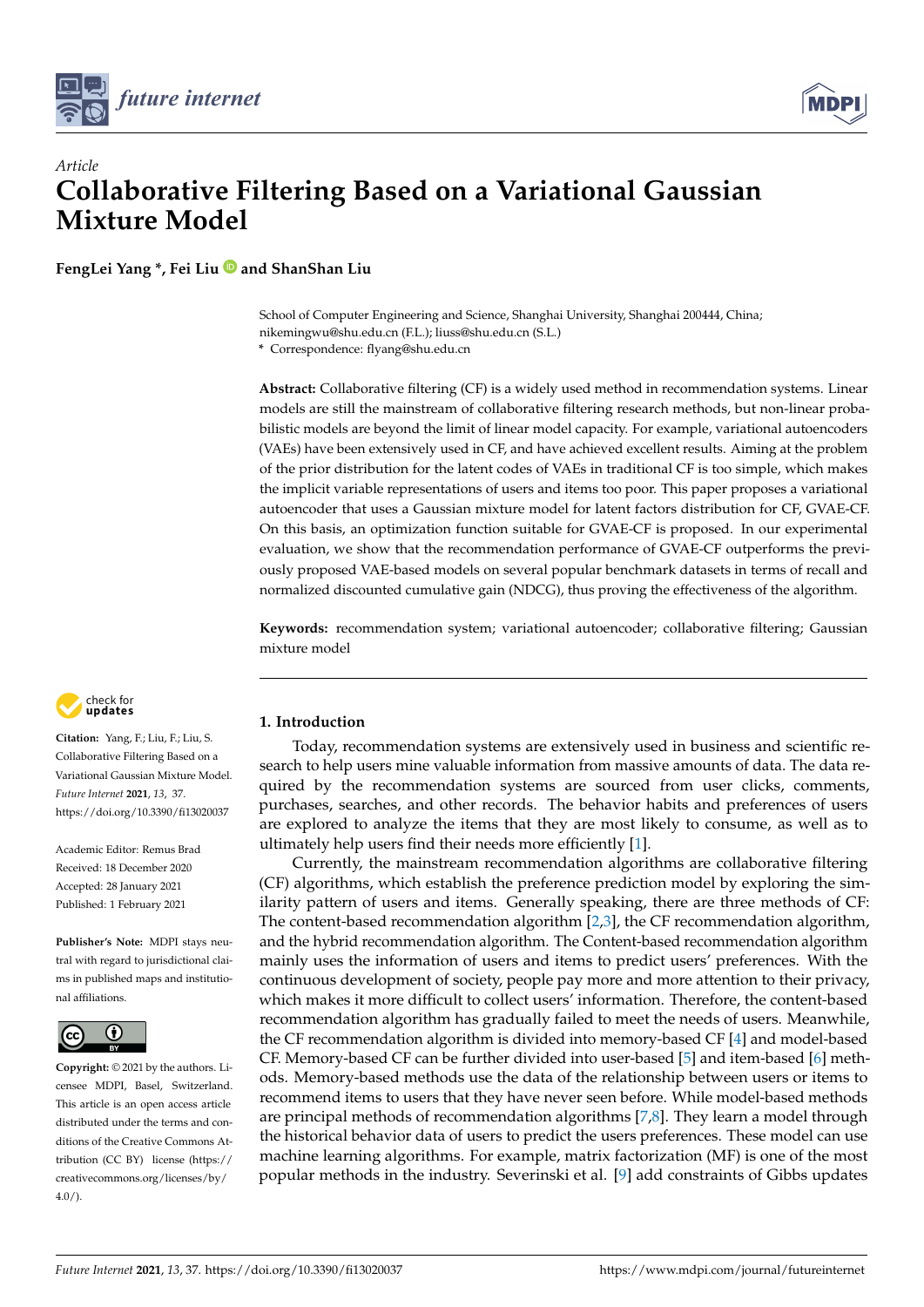



# *Article* **Collaborative Filtering Based on a Variational Gaussian Mixture Model**

**FengLei Yang \*, Fei Liu and ShanShan Liu**

School of Computer Engineering and Science, Shanghai University, Shanghai 200444, China; nikemingwu@shu.edu.cn (F.L.); liuss@shu.edu.cn (S.L.)

**\*** Correspondence: flyang@shu.edu.cn

**Abstract:** Collaborative filtering (CF) is a widely used method in recommendation systems. Linear models are still the mainstream of collaborative filtering research methods, but non-linear probabilistic models are beyond the limit of linear model capacity. For example, variational autoencoders (VAEs) have been extensively used in CF, and have achieved excellent results. Aiming at the problem of the prior distribution for the latent codes of VAEs in traditional CF is too simple, which makes the implicit variable representations of users and items too poor. This paper proposes a variational autoencoder that uses a Gaussian mixture model for latent factors distribution for CF, GVAE-CF. On this basis, an optimization function suitable for GVAE-CF is proposed. In our experimental evaluation, we show that the recommendation performance of GVAE-CF outperforms the previously proposed VAE-based models on several popular benchmark datasets in terms of recall and normalized discounted cumulative gain (NDCG), thus proving the effectiveness of the algorithm.

**Keywords:** recommendation system; variational autoencoder; collaborative filtering; Gaussian mixture model



**Citation:** Yang, F.; Liu, F.; Liu, S. Collaborative Filtering Based on a Variational Gaussian Mixture Model. *Future Internet* **2021**, *13*, 37. <https://doi.org/10.3390/fi13020037>

Academic Editor: Remus Brad Received: 18 December 2020 Accepted: 28 January 2021 Published: 1 February 2021

**Publisher's Note:** MDPI stays neutral with regard to jurisdictional claims in published maps and institutional affiliations.



**Copyright:** © 2021 by the authors. Licensee MDPI, Basel, Switzerland. This article is an open access article distributed under the terms and conditions of the Creative Commons Attribution (CC BY) license [\(https://](https://creativecommons.org/licenses/by/4.0/) [creativecommons.org/licenses/by/](https://creativecommons.org/licenses/by/4.0/)  $4.0/$ ).

# **1. Introduction**

Today, recommendation systems are extensively used in business and scientific research to help users mine valuable information from massive amounts of data. The data required by the recommendation systems are sourced from user clicks, comments, purchases, searches, and other records. The behavior habits and preferences of users are explored to analyze the items that they are most likely to consume, as well as to ultimately help users find their needs more efficiently [\[1\]](#page-8-0).

Currently, the mainstream recommendation algorithms are collaborative filtering (CF) algorithms, which establish the preference prediction model by exploring the similarity pattern of users and items. Generally speaking, there are three methods of CF: The content-based recommendation algorithm [\[2](#page-8-1)[,3\]](#page-8-2), the CF recommendation algorithm, and the hybrid recommendation algorithm. The Content-based recommendation algorithm mainly uses the information of users and items to predict users' preferences. With the continuous development of society, people pay more and more attention to their privacy, which makes it more difficult to collect users' information. Therefore, the content-based recommendation algorithm has gradually failed to meet the needs of users. Meanwhile, the CF recommendation algorithm is divided into memory-based CF [\[4\]](#page-8-3) and model-based CF. Memory-based CF can be further divided into user-based [\[5\]](#page-8-4) and item-based [\[6\]](#page-8-5) methods. Memory-based methods use the data of the relationship between users or items to recommend items to users that they have never seen before. While model-based methods are principal methods of recommendation algorithms [\[7,](#page-9-0)[8\]](#page-9-1). They learn a model through the historical behavior data of users to predict the users preferences. These model can use machine learning algorithms. For example, matrix factorization (MF) is one of the most popular methods in the industry. Severinski et al. [\[9\]](#page-9-2) add constraints of Gibbs updates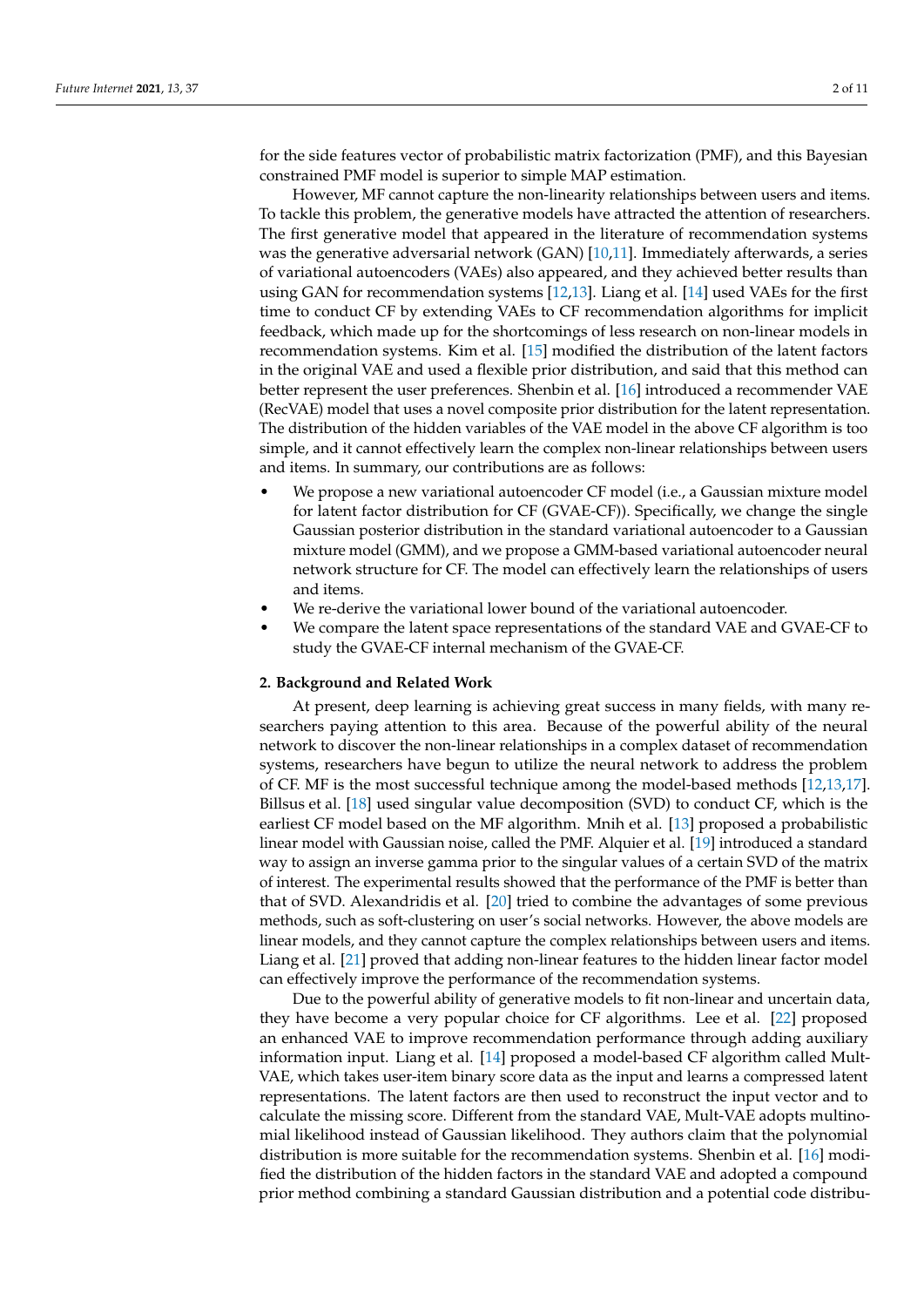for the side features vector of probabilistic matrix factorization (PMF), and this Bayesian constrained PMF model is superior to simple MAP estimation.

However, MF cannot capture the non-linearity relationships between users and items. To tackle this problem, the generative models have attracted the attention of researchers. The first generative model that appeared in the literature of recommendation systems was the generative adversarial network (GAN) [\[10](#page-9-3)[,11\]](#page-9-4). Immediately afterwards, a series of variational autoencoders (VAEs) also appeared, and they achieved better results than using GAN for recommendation systems [\[12,](#page-9-5)[13\]](#page-9-6). Liang et al. [\[14\]](#page-9-7) used VAEs for the first time to conduct CF by extending VAEs to CF recommendation algorithms for implicit feedback, which made up for the shortcomings of less research on non-linear models in recommendation systems. Kim et al. [\[15\]](#page-9-8) modified the distribution of the latent factors in the original VAE and used a flexible prior distribution, and said that this method can better represent the user preferences. Shenbin et al. [\[16\]](#page-9-9) introduced a recommender VAE (RecVAE) model that uses a novel composite prior distribution for the latent representation. The distribution of the hidden variables of the VAE model in the above CF algorithm is too simple, and it cannot effectively learn the complex non-linear relationships between users and items. In summary, our contributions are as follows:

- We propose a new variational autoencoder CF model (i.e., a Gaussian mixture model for latent factor distribution for CF (GVAE-CF)). Specifically, we change the single Gaussian posterior distribution in the standard variational autoencoder to a Gaussian mixture model (GMM), and we propose a GMM-based variational autoencoder neural network structure for CF. The model can effectively learn the relationships of users and items.
- We re-derive the variational lower bound of the variational autoencoder.
- We compare the latent space representations of the standard VAE and GVAE-CF to study the GVAE-CF internal mechanism of the GVAE-CF.

### **2. Background and Related Work**

At present, deep learning is achieving great success in many fields, with many researchers paying attention to this area. Because of the powerful ability of the neural network to discover the non-linear relationships in a complex dataset of recommendation systems, researchers have begun to utilize the neural network to address the problem of CF. MF is the most successful technique among the model-based methods [\[12,](#page-9-5)[13,](#page-9-6)[17\]](#page-9-10). Billsus et al. [\[18\]](#page-9-11) used singular value decomposition (SVD) to conduct CF, which is the earliest CF model based on the MF algorithm. Mnih et al. [\[13\]](#page-9-6) proposed a probabilistic linear model with Gaussian noise, called the PMF. Alquier et al. [\[19\]](#page-9-12) introduced a standard way to assign an inverse gamma prior to the singular values of a certain SVD of the matrix of interest. The experimental results showed that the performance of the PMF is better than that of SVD. Alexandridis et al. [\[20\]](#page-9-13) tried to combine the advantages of some previous methods, such as soft-clustering on user's social networks. However, the above models are linear models, and they cannot capture the complex relationships between users and items. Liang et al. [\[21\]](#page-9-14) proved that adding non-linear features to the hidden linear factor model can effectively improve the performance of the recommendation systems.

Due to the powerful ability of generative models to fit non-linear and uncertain data, they have become a very popular choice for CF algorithms. Lee et al. [\[22\]](#page-9-15) proposed an enhanced VAE to improve recommendation performance through adding auxiliary information input. Liang et al. [\[14\]](#page-9-7) proposed a model-based CF algorithm called Mult-VAE, which takes user-item binary score data as the input and learns a compressed latent representations. The latent factors are then used to reconstruct the input vector and to calculate the missing score. Different from the standard VAE, Mult-VAE adopts multinomial likelihood instead of Gaussian likelihood. They authors claim that the polynomial distribution is more suitable for the recommendation systems. Shenbin et al. [\[16\]](#page-9-9) modified the distribution of the hidden factors in the standard VAE and adopted a compound prior method combining a standard Gaussian distribution and a potential code distribu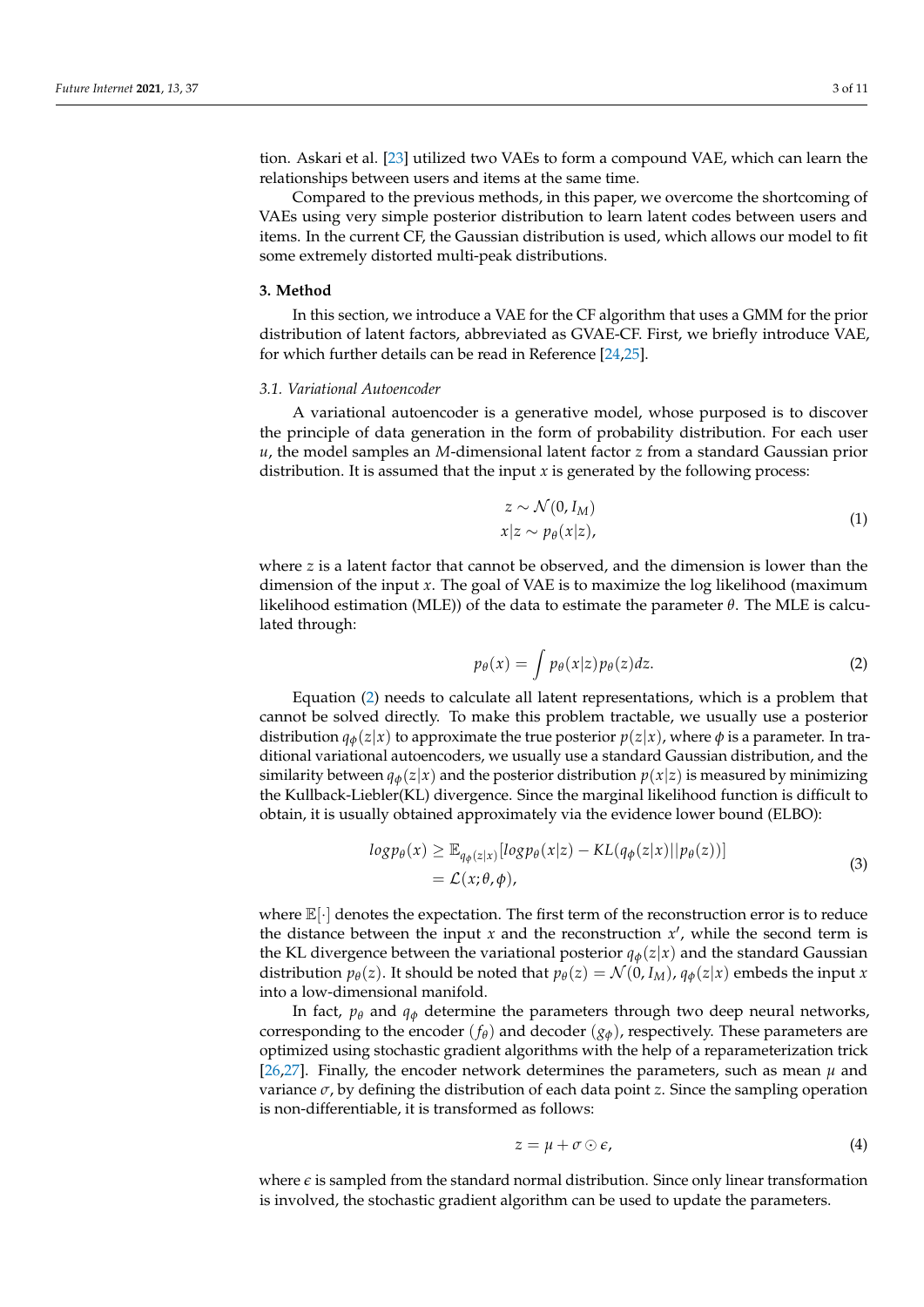tion. Askari et al. [\[23\]](#page-9-16) utilized two VAEs to form a compound VAE, which can learn the relationships between users and items at the same time.

Compared to the previous methods, in this paper, we overcome the shortcoming of VAEs using very simple posterior distribution to learn latent codes between users and items. In the current CF, the Gaussian distribution is used, which allows our model to fit some extremely distorted multi-peak distributions.

### **3. Method**

In this section, we introduce a VAE for the CF algorithm that uses a GMM for the prior distribution of latent factors, abbreviated as GVAE-CF. First, we briefly introduce VAE, for which further details can be read in Reference [\[24](#page-9-17)[,25\]](#page-9-18).

### *3.1. Variational Autoencoder*

A variational autoencoder is a generative model, whose purposed is to discover the principle of data generation in the form of probability distribution. For each user *u*, the model samples an *M*-dimensional latent factor *z* from a standard Gaussian prior distribution. It is assumed that the input *x* is generated by the following process:

$$
z \sim \mathcal{N}(0, I_M)
$$
  
\n
$$
x|z \sim p_{\theta}(x|z),
$$
\n(1)

where *z* is a latent factor that cannot be observed, and the dimension is lower than the dimension of the input *x*. The goal of VAE is to maximize the log likelihood (maximum likelihood estimation (MLE)) of the data to estimate the parameter *θ*. The MLE is calculated through:

<span id="page-2-0"></span>
$$
p_{\theta}(x) = \int p_{\theta}(x|z)p_{\theta}(z)dz.
$$
 (2)

Equation [\(2\)](#page-2-0) needs to calculate all latent representations, which is a problem that cannot be solved directly. To make this problem tractable, we usually use a posterior distribution  $q_{\phi}(z|x)$  to approximate the true posterior  $p(z|x)$ , where  $\phi$  is a parameter. In traditional variational autoencoders, we usually use a standard Gaussian distribution, and the similarity between  $q_{\phi}(z|x)$  and the posterior distribution  $p(x|z)$  is measured by minimizing the Kullback-Liebler(KL) divergence. Since the marginal likelihood function is difficult to obtain, it is usually obtained approximately via the evidence lower bound (ELBO):

<span id="page-2-1"></span>
$$
log p_{\theta}(x) \geq \mathbb{E}_{q_{\phi}(z|x)}[log p_{\theta}(x|z) - KL(q_{\phi}(z|x)||p_{\theta}(z))]
$$
  
=  $\mathcal{L}(x; \theta, \phi),$  (3)

where  $\mathbb{E}[\cdot]$  denotes the expectation. The first term of the reconstruction error is to reduce the distance between the input  $x$  and the reconstruction  $x'$ , while the second term is the KL divergence between the variational posterior  $q_{\phi}(z|x)$  and the standard Gaussian distribution  $p_{\theta}(z)$ . It should be noted that  $p_{\theta}(z) = \mathcal{N}(0, I_M)$ ,  $q_{\phi}(z|x)$  embeds the input *x* into a low-dimensional manifold.

In fact,  $p_{\theta}$  and  $q_{\phi}$  determine the parameters through two deep neural networks, corresponding to the encoder  $(f_\theta)$  and decoder  $(g_\phi)$ , respectively. These parameters are optimized using stochastic gradient algorithms with the help of a reparameterization trick [\[26,](#page-9-19)[27\]](#page-9-20). Finally, the encoder network determines the parameters, such as mean  $\mu$  and variance *σ*, by defining the distribution of each data point *z*. Since the sampling operation is non-differentiable, it is transformed as follows:

$$
z = \mu + \sigma \odot \epsilon, \tag{4}
$$

where  $\epsilon$  is sampled from the standard normal distribution. Since only linear transformation is involved, the stochastic gradient algorithm can be used to update the parameters.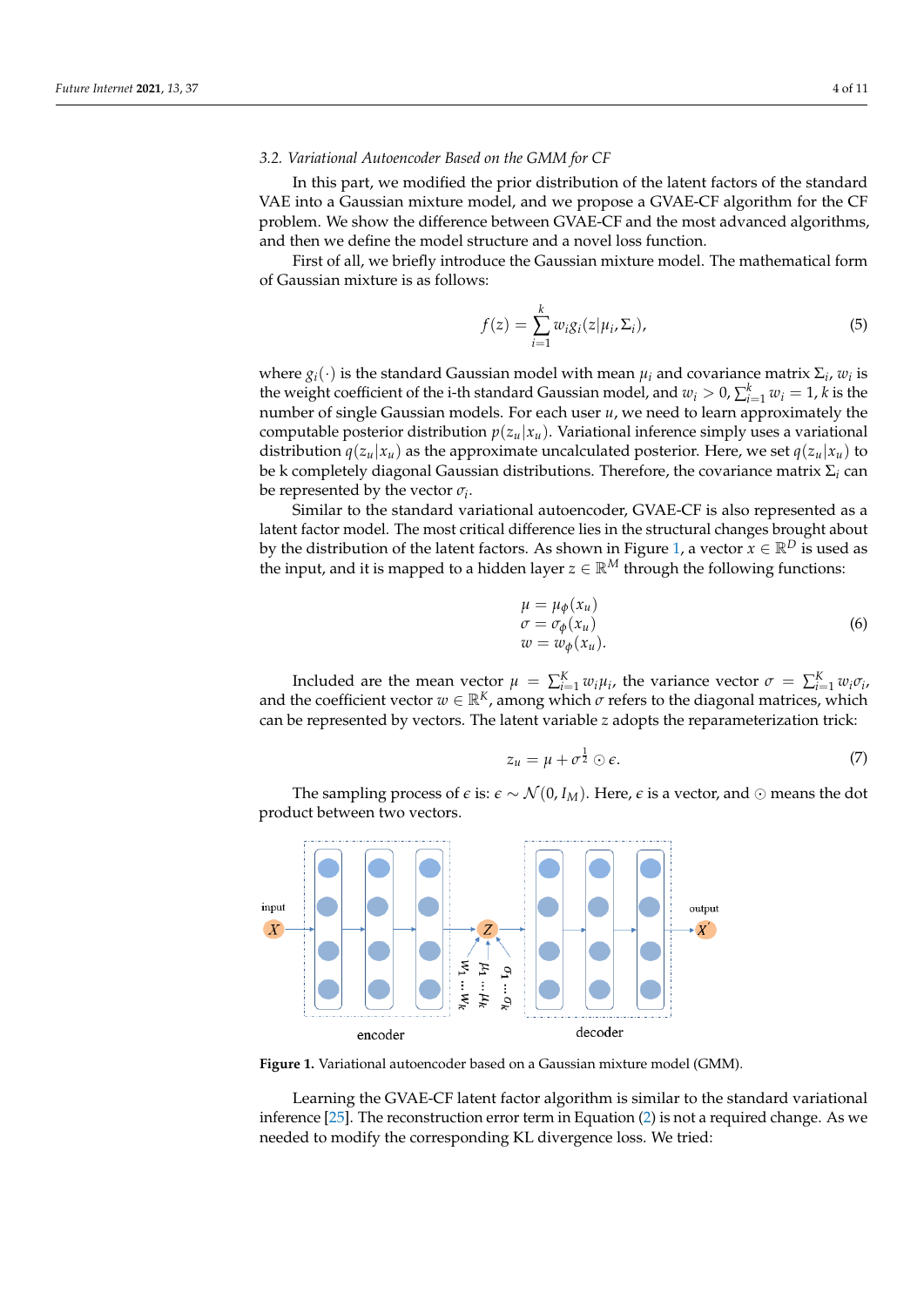## *3.2. Variational Autoencoder Based on the GMM for CF*

In this part, we modified the prior distribution of the latent factors of the standard VAE into a Gaussian mixture model, and we propose a GVAE-CF algorithm for the CF problem. We show the difference between GVAE-CF and the most advanced algorithms, and then we define the model structure and a novel loss function.

First of all, we briefly introduce the Gaussian mixture model. The mathematical form of Gaussian mixture is as follows:

$$
f(z) = \sum_{i=1}^{k} w_i g_i(z | \mu_i, \Sigma_i), \qquad (5)
$$

where  $g_i(\cdot)$  is the standard Gaussian model with mean  $\mu_i$  and covariance matrix  $\Sigma_i$ ,  $w_i$  is the weight coefficient of the i-th standard Gaussian model, and  $w_i > 0$ ,  $\sum_{i=1}^k w_i = 1$ , *k* is the number of single Gaussian models. For each user *u*, we need to learn approximately the computable posterior distribution  $p(z_u|x_u)$ . Variational inference simply uses a variational distribution  $q(z_u|x_u)$  as the approximate uncalculated posterior. Here, we set  $q(z_u|x_u)$  to be k completely diagonal Gaussian distributions. Therefore, the covariance matrix Σ*<sup>i</sup>* can be represented by the vector  $\sigma_i$ .

Similar to the standard variational autoencoder, GVAE-CF is also represented as a latent factor model. The most critical difference lies in the structural changes brought about by the distribution of the latent factors. As shown in Figure [1,](#page-3-0) a vector  $x \in \mathbb{R}^D$  is used as the input, and it is mapped to a hidden layer  $z \in \mathbb{R}^M$  through the following functions:

$$
\begin{aligned} \n\mu &= \mu_{\phi}(x_u) \\ \n\sigma &= \sigma_{\phi}(x_u) \\ \n\omega &= w_{\phi}(x_u). \n\end{aligned} \tag{6}
$$

Included are the mean vector  $\mu = \sum_{i=1}^{K} w_i \mu_i$ , the variance vector  $\sigma = \sum_{i=1}^{K} w_i \sigma_i$ , and the coefficient vector  $w \in \mathbb{R}^K$ , among which  $\sigma$  refers to the diagonal matrices, which can be represented by vectors. The latent variable *z* adopts the reparameterization trick:

<span id="page-3-1"></span>
$$
z_u = \mu + \sigma^{\frac{1}{2}} \odot \epsilon. \tag{7}
$$

The sampling process of  $\epsilon$  is:  $\epsilon \sim \mathcal{N}(0, I_M)$ . Here,  $\epsilon$  is a vector, and ⊙ means the dot product between two vectors.

<span id="page-3-0"></span>

**Figure 1.** Variational autoencoder based on a Gaussian mixture model (GMM).

Learning the GVAE-CF latent factor algorithm is similar to the standard variational inference [\[25\]](#page-9-18). The reconstruction error term in Equation [\(2\)](#page-2-0) is not a required change. As we needed to modify the corresponding KL divergence loss. We tried: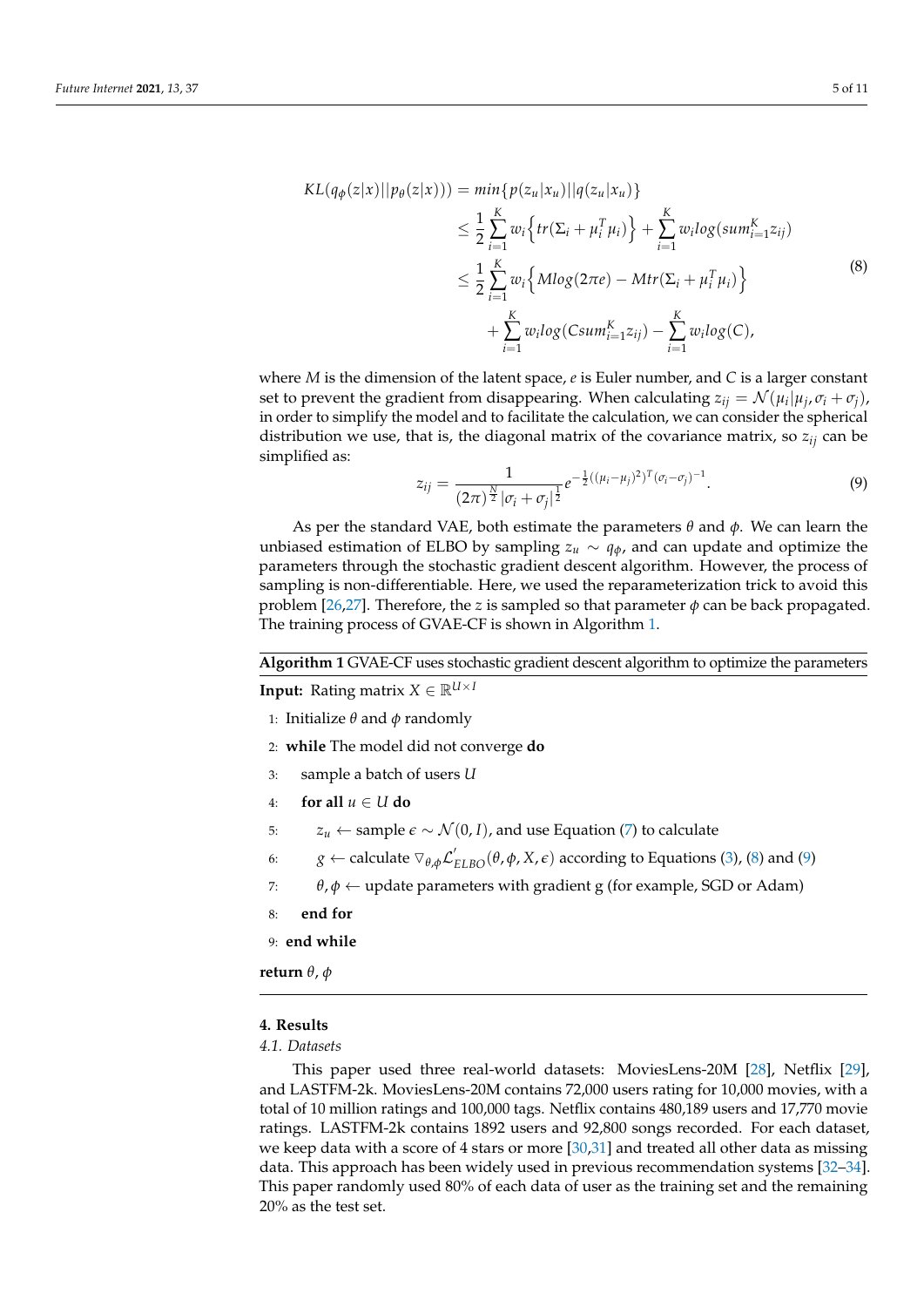<span id="page-4-1"></span>
$$
KL(q_{\phi}(z|x)||p_{\theta}(z|x))) = min\{p(z_{u}|x_{u})||q(z_{u}|x_{u})\}
$$
  
\n
$$
\leq \frac{1}{2} \sum_{i=1}^{K} w_{i} \{tr(\Sigma_{i} + \mu_{i}^{T} \mu_{i})\} + \sum_{i=1}^{K} w_{i} log(sum_{i=1}^{K} z_{ij})
$$
  
\n
$$
\leq \frac{1}{2} \sum_{i=1}^{K} w_{i} \{Mlog(2\pi e) - Mtr(\Sigma_{i} + \mu_{i}^{T} \mu_{i})\}
$$
  
\n
$$
+ \sum_{i=1}^{K} w_{i} log(Csum_{i=1}^{K} z_{ij}) - \sum_{i=1}^{K} w_{i} log(C),
$$
\n(8)

where *M* is the dimension of the latent space, *e* is Euler number, and *C* is a larger constant set to prevent the gradient from disappearing. When calculating  $z_{ij} = \mathcal{N}(\mu_i | \mu_j, \sigma_i + \sigma_j)$ , in order to simplify the model and to facilitate the calculation, we can consider the spherical distribution we use, that is, the diagonal matrix of the covariance matrix, so  $z_{ij}$  can be simplified as:

<span id="page-4-2"></span>
$$
z_{ij} = \frac{1}{(2\pi)^{\frac{N}{2}} |\sigma_i + \sigma_j|^{\frac{1}{2}}} e^{-\frac{1}{2}((\mu_i - \mu_j)^2)^T (\sigma_i - \sigma_j)^{-1}}.
$$
\n(9)

As per the standard VAE, both estimate the parameters *θ* and *φ*. We can learn the unbiased estimation of ELBO by sampling  $z_u \sim q_\phi$ , and can update and optimize the parameters through the stochastic gradient descent algorithm. However, the process of sampling is non-differentiable. Here, we used the reparameterization trick to avoid this problem  $[26,27]$  $[26,27]$ . Therefore, the *z* is sampled so that parameter  $\phi$  can be back propagated. The training process of GVAE-CF is shown in Algorithm [1.](#page-4-0)

<span id="page-4-0"></span>**Algorithm 1** GVAE-CF uses stochastic gradient descent algorithm to optimize the parameters

**Input:** Rating matrix  $X \in \mathbb{R}^{U \times I}$ 

- 1: Initialize *θ* and *φ* randomly
- 2: **while** The model did not converge **do**
- 3: sample a batch of users *U*
- 4: **for all**  $u \in U$  **do**
- 5:  $z_u \leftarrow$  sample  $\epsilon \sim \mathcal{N}(0, I)$ , and use Equation [\(7\)](#page-3-1) to calculate
- 6: *g* ← calculate  $∇_{θ,φ} L'_{ELBO}(θ, φ, X, ε)$  according to Equations [\(3\)](#page-2-1), [\(8\)](#page-4-1) and [\(9\)](#page-4-2)
- 7:  $\theta$ ,  $\phi \leftarrow$  update parameters with gradient g (for example, SGD or Adam)
- 8: **end for**

9: **end while**

**return** *θ*, *φ*

# **4. Results**

# *4.1. Datasets*

This paper used three real-world datasets: MoviesLens-20M [\[28\]](#page-9-21), Netflix [\[29\]](#page-9-22), and LASTFM-2k. MoviesLens-20M contains 72,000 users rating for 10,000 movies, with a total of 10 million ratings and 100,000 tags. Netflix contains 480,189 users and 17,770 movie ratings. LASTFM-2k contains 1892 users and 92,800 songs recorded. For each dataset, we keep data with a score of 4 stars or more [\[30,](#page-9-23)[31\]](#page-9-24) and treated all other data as missing data. This approach has been widely used in previous recommendation systems [\[32](#page-9-25)[–34\]](#page-9-26). This paper randomly used 80% of each data of user as the training set and the remaining 20% as the test set.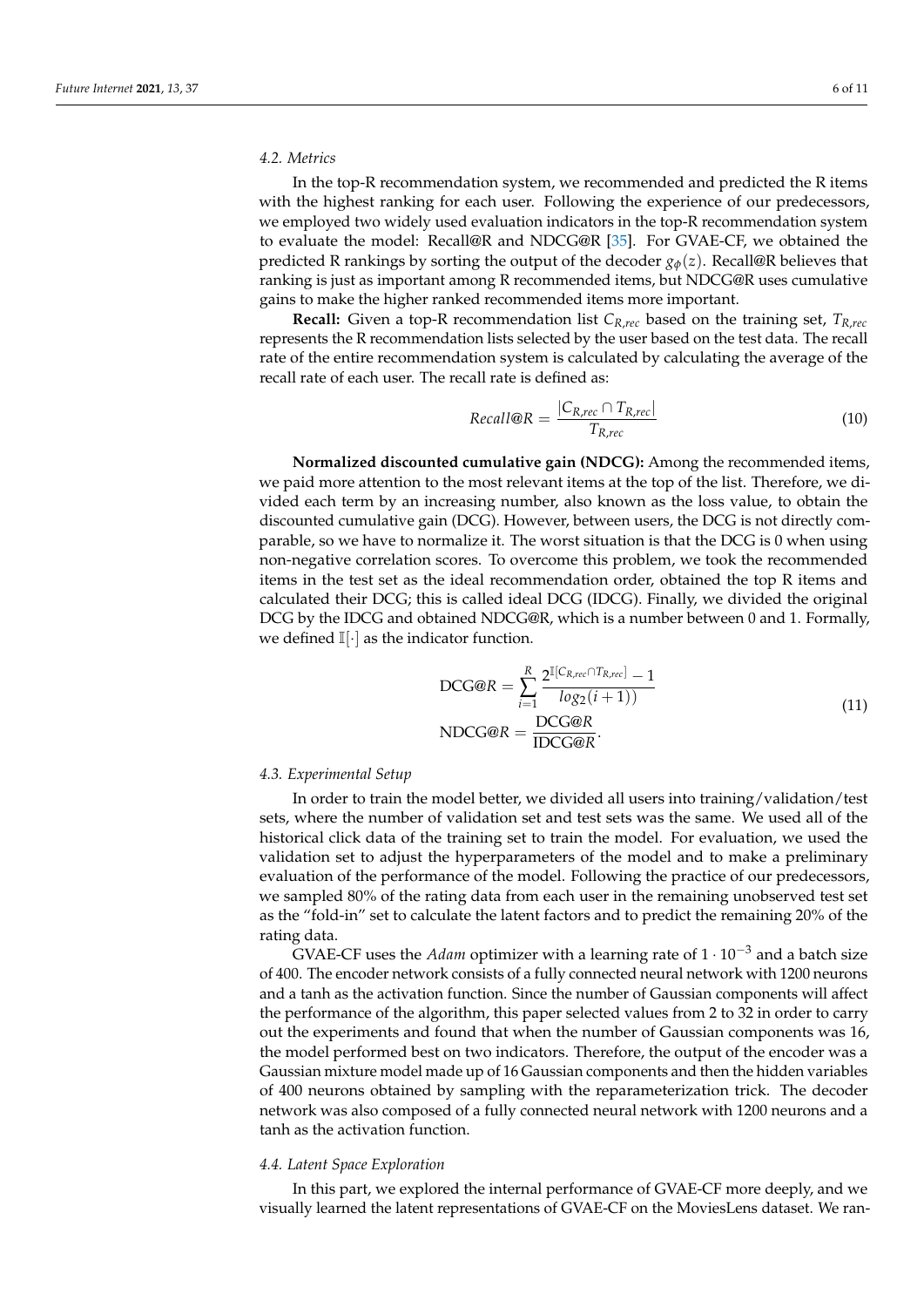# *4.2. Metrics*

In the top-R recommendation system, we recommended and predicted the R items with the highest ranking for each user. Following the experience of our predecessors, we employed two widely used evaluation indicators in the top-R recommendation system to evaluate the model: Recall@R and NDCG@R [\[35\]](#page-10-0). For GVAE-CF, we obtained the predicted R rankings by sorting the output of the decoder  $g_{\phi}(z)$ . Recall@R believes that ranking is just as important among R recommended items, but NDCG@R uses cumulative gains to make the higher ranked recommended items more important.

**Recall:** Given a top-R recommendation list *CR*,*rec* based on the training set, *TR*,*rec* represents the R recommendation lists selected by the user based on the test data. The recall rate of the entire recommendation system is calculated by calculating the average of the recall rate of each user. The recall rate is defined as:

$$
Recall@R = \frac{|C_{R,rec} \cap T_{R,rec}|}{T_{R,rec}}
$$
\n
$$
(10)
$$

**Normalized discounted cumulative gain (NDCG):** Among the recommended items, we paid more attention to the most relevant items at the top of the list. Therefore, we divided each term by an increasing number, also known as the loss value, to obtain the discounted cumulative gain (DCG). However, between users, the DCG is not directly comparable, so we have to normalize it. The worst situation is that the DCG is 0 when using non-negative correlation scores. To overcome this problem, we took the recommended items in the test set as the ideal recommendation order, obtained the top R items and calculated their DCG; this is called ideal DCG (IDCG). Finally, we divided the original DCG by the IDCG and obtained NDCG@R, which is a number between 0 and 1. Formally, we defined  $\mathbb{I}[\cdot]$  as the indicator function.

$$
DCG@R = \sum_{i=1}^{R} \frac{2^{\mathbb{I}[C_{R,rec} \cap T_{R,rec}]} - 1}{log_2(i+1)}
$$
  
\n
$$
NDCG@R = \frac{DCG@R}{IDCC@R}.
$$
  
\n(11)

### *4.3. Experimental Setup*

In order to train the model better, we divided all users into training/validation/test sets, where the number of validation set and test sets was the same. We used all of the historical click data of the training set to train the model. For evaluation, we used the validation set to adjust the hyperparameters of the model and to make a preliminary evaluation of the performance of the model. Following the practice of our predecessors, we sampled 80% of the rating data from each user in the remaining unobserved test set as the "fold-in" set to calculate the latent factors and to predict the remaining 20% of the rating data.

GVAE-CF uses the *Adam* optimizer with a learning rate of 1 · 10−<sup>3</sup> and a batch size of 400. The encoder network consists of a fully connected neural network with 1200 neurons and a tanh as the activation function. Since the number of Gaussian components will affect the performance of the algorithm, this paper selected values from 2 to 32 in order to carry out the experiments and found that when the number of Gaussian components was 16, the model performed best on two indicators. Therefore, the output of the encoder was a Gaussian mixture model made up of 16 Gaussian components and then the hidden variables of 400 neurons obtained by sampling with the reparameterization trick. The decoder network was also composed of a fully connected neural network with 1200 neurons and a tanh as the activation function.

# *4.4. Latent Space Exploration*

In this part, we explored the internal performance of GVAE-CF more deeply, and we visually learned the latent representations of GVAE-CF on the MoviesLens dataset. We ran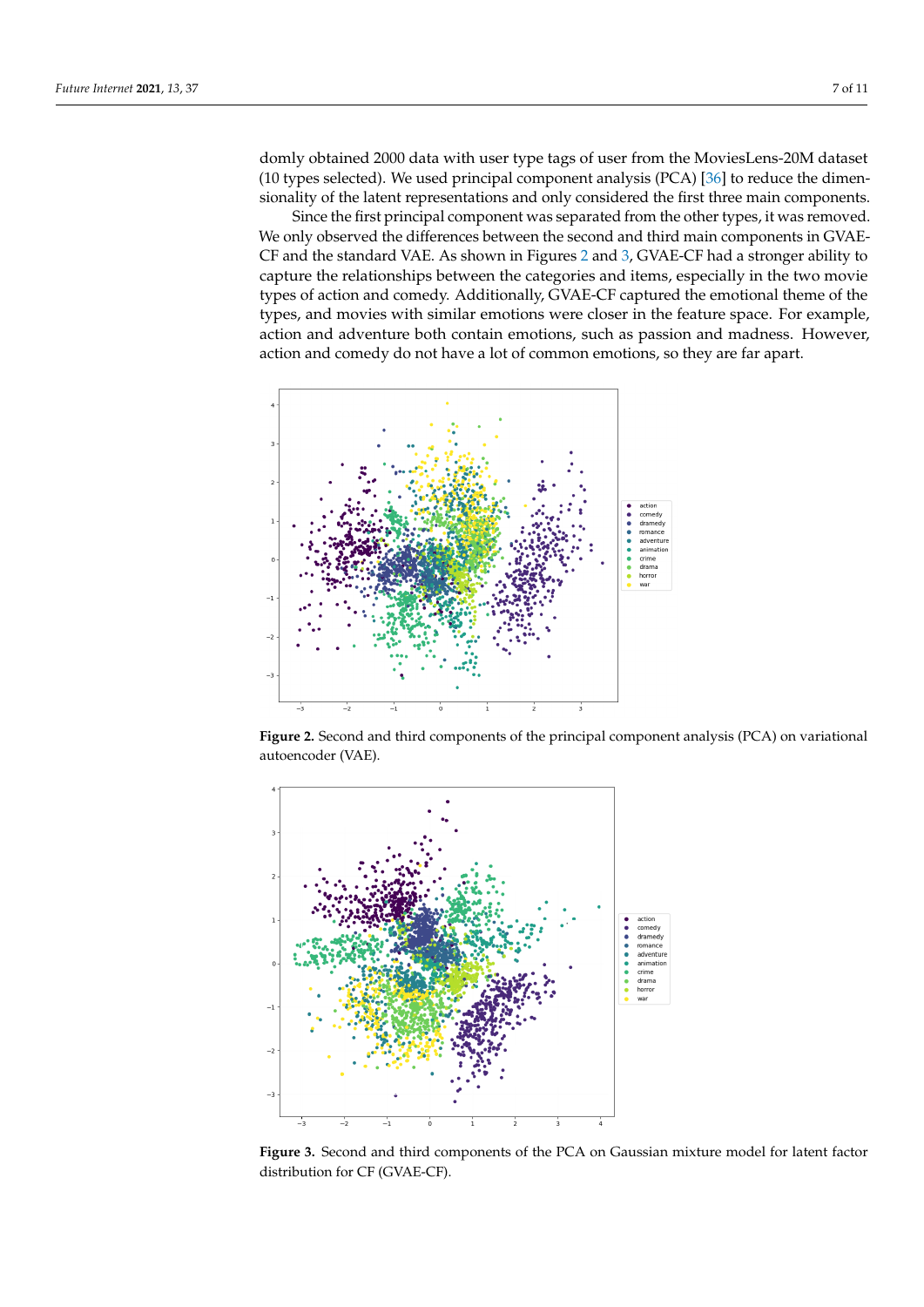domly obtained 2000 data with user type tags of user from the MoviesLens-20M dataset (10 types selected). We used principal component analysis (PCA) [\[36\]](#page-10-1) to reduce the dimensionality of the latent representations and only considered the first three main components.

Since the first principal component was separated from the other types, it was removed. We only observed the differences between the second and third main components in GVAE-CF and the standard VAE. As shown in Figures [2](#page-6-0) and [3,](#page-6-1) GVAE-CF had a stronger ability to capture the relationships between the categories and items, especially in the two movie types of action and comedy. Additionally, GVAE-CF captured the emotional theme of the types, and movies with similar emotions were closer in the feature space. For example, action and adventure both contain emotions, such as passion and madness. However, action and comedy do not have a lot of common emotions, so they are far apart.

<span id="page-6-0"></span>

**Figure 2.** Second and third components of the principal component analysis (PCA) on variational autoencoder (VAE).

<span id="page-6-1"></span>

**Figure 3.** Second and third components of the PCA on Gaussian mixture model for latent factor distribution for CF (GVAE-CF).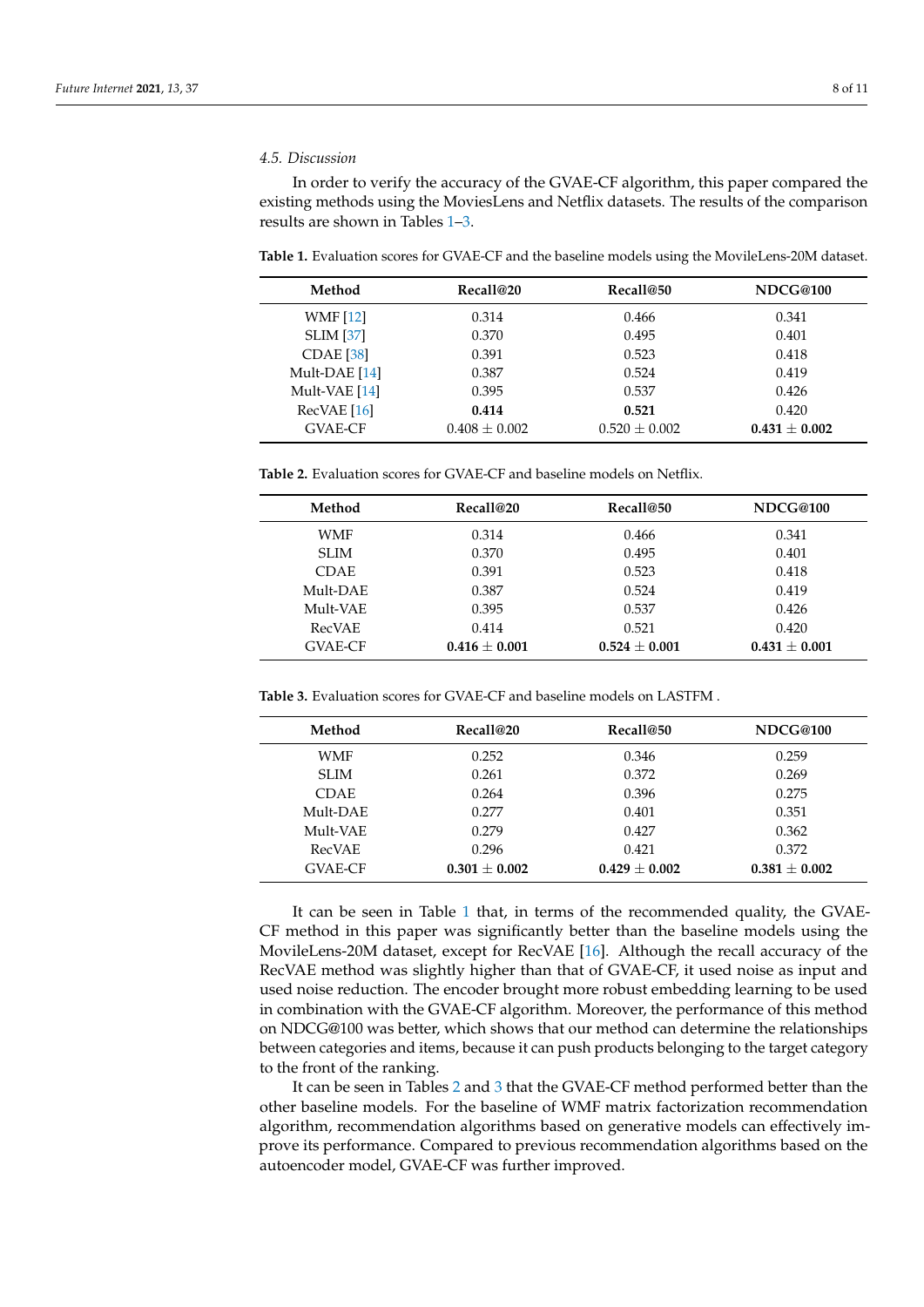### *4.5. Discussion*

In order to verify the accuracy of the GVAE-CF algorithm, this paper compared the existing methods using the MoviesLens and Netflix datasets. The results of the comparison results are shown in Tables [1](#page-7-0)[–3.](#page-7-1)

<span id="page-7-0"></span>**Table 1.** Evaluation scores for GVAE-CF and the baseline models using the MovileLens-20M dataset.

| Method           | Recall@20         | Recall@50         | NDCG@100          |
|------------------|-------------------|-------------------|-------------------|
| <b>WMF</b> [12]  | 0.314             | 0.466             | 0.341             |
| <b>SLIM</b> [37] | 0.370             | 0.495             | 0.401             |
| $CDAE$ [38]      | 0.391             | 0.523             | 0.418             |
| Mult-DAE [14]    | 0.387             | 0.524             | 0.419             |
| Mult-VAE [14]    | 0.395             | 0.537             | 0.426             |
| RecVAE[16]       | 0.414             | 0.521             | 0.420             |
| <b>GVAE-CF</b>   | $0.408 \pm 0.002$ | $0.520 \pm 0.002$ | $0.431 \pm 0.002$ |

<span id="page-7-2"></span>**Table 2.** Evaluation scores for GVAE-CF and baseline models on Netflix.

| Method         | Recall@20       | Recall@50       | NDCG@100        |
|----------------|-----------------|-----------------|-----------------|
| WMF            | 0.314           | 0.466           | 0.341           |
| SLIM           | 0.370           | 0.495           | 0.401           |
| <b>CDAE</b>    | 0.391           | 0.523           | 0.418           |
| Mult-DAE       | 0.387           | 0.524           | 0.419           |
| Mult-VAE       | 0.395           | 0.537           | 0.426           |
| <b>RecVAE</b>  | 0.414           | 0.521           | 0.420           |
| <b>GVAE-CF</b> | $0.416 + 0.001$ | $0.524 + 0.001$ | $0.431 + 0.001$ |

<span id="page-7-1"></span>**Table 3.** Evaluation scores for GVAE-CF and baseline models on LASTFM .

| Method         | Recall@20       | Recall@50         | NDCG@100        |
|----------------|-----------------|-------------------|-----------------|
| <b>WMF</b>     | 0.252           | 0.346             | 0.259           |
| SLIM           | 0.261           | 0.372             | 0.269           |
| <b>CDAE</b>    | 0.264           | 0.396             | 0.275           |
| Mult-DAE       | 0.277           | 0.401             | 0.351           |
| Mult-VAE       | 0.279           | 0.427             | 0.362           |
| <b>RecVAE</b>  | 0.296           | 0.421             | 0.372           |
| <b>GVAE-CF</b> | $0.301 + 0.002$ | $0.429 \pm 0.002$ | $0.381 + 0.002$ |

It can be seen in Table [1](#page-7-0) that, in terms of the recommended quality, the GVAE-CF method in this paper was significantly better than the baseline models using the MovileLens-20M dataset, except for RecVAE [\[16\]](#page-9-9). Although the recall accuracy of the RecVAE method was slightly higher than that of GVAE-CF, it used noise as input and used noise reduction. The encoder brought more robust embedding learning to be used in combination with the GVAE-CF algorithm. Moreover, the performance of this method on NDCG@100 was better, which shows that our method can determine the relationships between categories and items, because it can push products belonging to the target category to the front of the ranking.

It can be seen in Tables [2](#page-7-2) and [3](#page-7-1) that the GVAE-CF method performed better than the other baseline models. For the baseline of WMF matrix factorization recommendation algorithm, recommendation algorithms based on generative models can effectively improve its performance. Compared to previous recommendation algorithms based on the autoencoder model, GVAE-CF was further improved.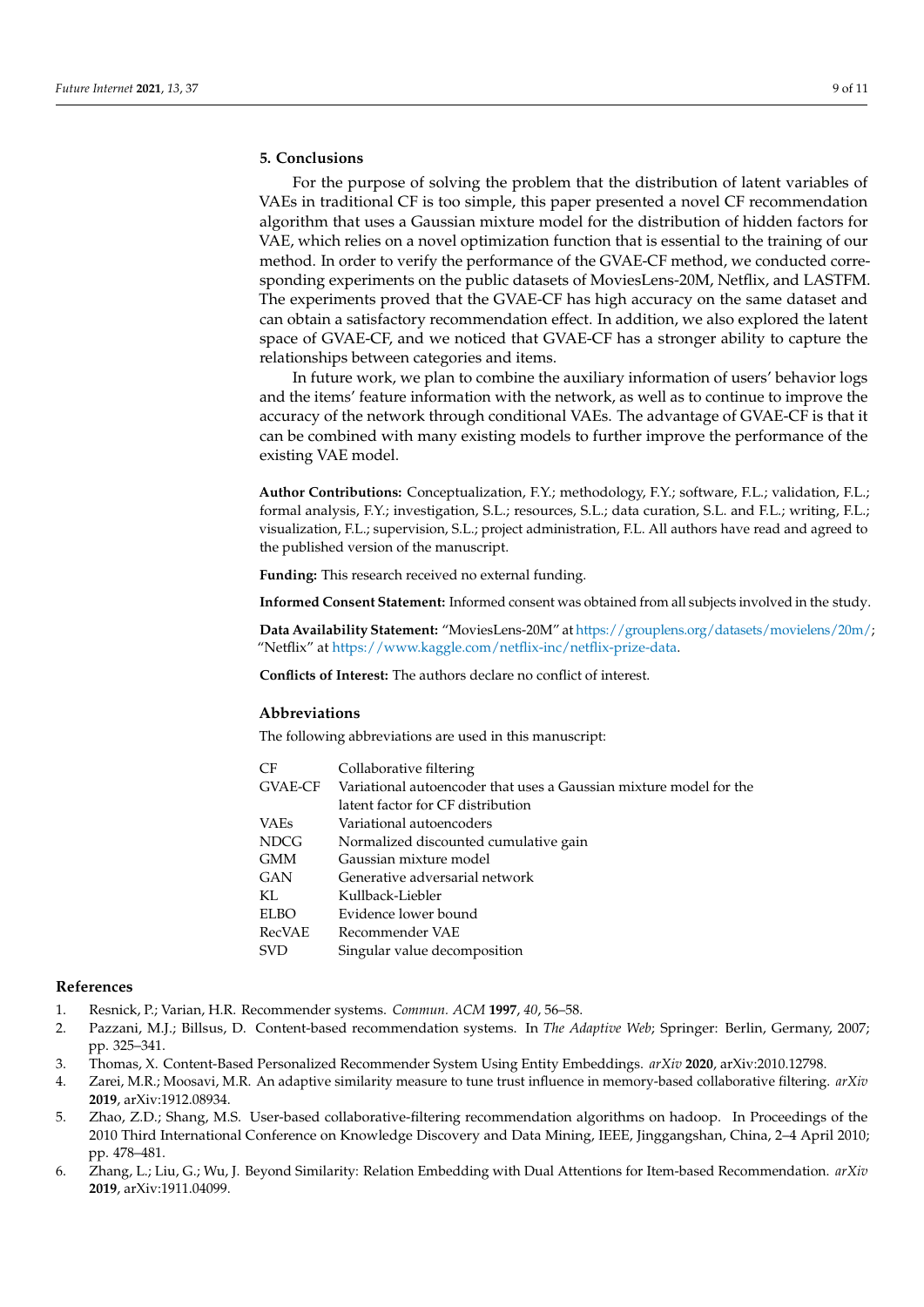# **5. Conclusions**

For the purpose of solving the problem that the distribution of latent variables of VAEs in traditional CF is too simple, this paper presented a novel CF recommendation algorithm that uses a Gaussian mixture model for the distribution of hidden factors for VAE, which relies on a novel optimization function that is essential to the training of our method. In order to verify the performance of the GVAE-CF method, we conducted corresponding experiments on the public datasets of MoviesLens-20M, Netflix, and LASTFM. The experiments proved that the GVAE-CF has high accuracy on the same dataset and can obtain a satisfactory recommendation effect. In addition, we also explored the latent space of GVAE-CF, and we noticed that GVAE-CF has a stronger ability to capture the relationships between categories and items.

In future work, we plan to combine the auxiliary information of users' behavior logs and the items' feature information with the network, as well as to continue to improve the accuracy of the network through conditional VAEs. The advantage of GVAE-CF is that it can be combined with many existing models to further improve the performance of the existing VAE model.

**Author Contributions:** Conceptualization, F.Y.; methodology, F.Y.; software, F.L.; validation, F.L.; formal analysis, F.Y.; investigation, S.L.; resources, S.L.; data curation, S.L. and F.L.; writing, F.L.; visualization, F.L.; supervision, S.L.; project administration, F.L. All authors have read and agreed to the published version of the manuscript.

**Funding:** This research received no external funding.

**Informed Consent Statement:** Informed consent was obtained from all subjects involved in the study.

**Data Availability Statement:** "MoviesLens-20M" at [https://grouplens.org/datasets/movielens/20m/;](https://grouplens.org/datasets/movielens/20m/) "Netflix" at [https://www.kaggle.com/netflix-inc/netflix-prize-data.](https://www.kaggle.com/netflix-inc/netflix-prize-data)

**Conflicts of Interest:** The authors declare no conflict of interest.

# **Abbreviations**

The following abbreviations are used in this manuscript:

| CF          | Collaborative filtering                                            |
|-------------|--------------------------------------------------------------------|
| GVAE-CF     | Variational autoencoder that uses a Gaussian mixture model for the |
|             | latent factor for CF distribution                                  |
| VAEs        | Variational autoencoders                                           |
| <b>NDCG</b> | Normalized discounted cumulative gain                              |
| <b>GMM</b>  | Gaussian mixture model                                             |
| GAN         | Generative adversarial network                                     |
| KL.         | Kullback-Liebler                                                   |
| <b>ELBO</b> | Evidence lower bound                                               |
| RecVAE      | Recommender VAE                                                    |
| <b>SVD</b>  | Singular value decomposition                                       |
|             |                                                                    |

### **References**

- <span id="page-8-0"></span>1. Resnick, P.; Varian, H.R. Recommender systems. *Commun. ACM* **1997**, *40*, 56–58.
- <span id="page-8-1"></span>2. Pazzani, M.J.; Billsus, D. Content-based recommendation systems. In *The Adaptive Web*; Springer: Berlin, Germany, 2007; pp. 325–341.
- <span id="page-8-2"></span>3. Thomas, X. Content-Based Personalized Recommender System Using Entity Embeddings. *arXiv* **2020**, arXiv:2010.12798.
- <span id="page-8-3"></span>4. Zarei, M.R.; Moosavi, M.R. An adaptive similarity measure to tune trust influence in memory-based collaborative filtering. *arXiv* **2019**, arXiv:1912.08934.
- <span id="page-8-4"></span>5. Zhao, Z.D.; Shang, M.S. User-based collaborative-filtering recommendation algorithms on hadoop. In Proceedings of the 2010 Third International Conference on Knowledge Discovery and Data Mining, IEEE, Jinggangshan, China, 2–4 April 2010; pp. 478–481.
- <span id="page-8-5"></span>6. Zhang, L.; Liu, G.; Wu, J. Beyond Similarity: Relation Embedding with Dual Attentions for Item-based Recommendation. *arXiv* **2019**, arXiv:1911.04099.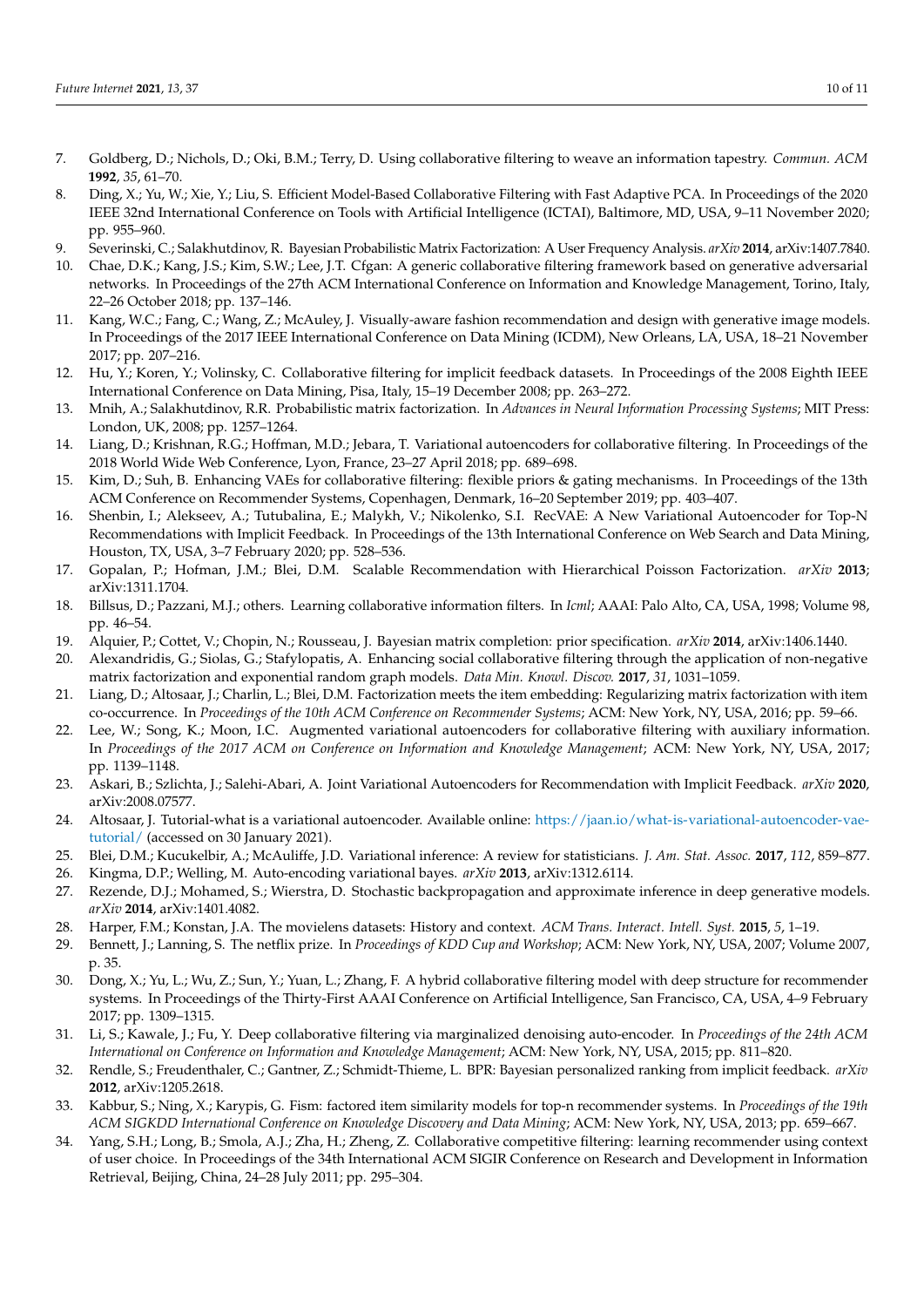- <span id="page-9-0"></span>7. Goldberg, D.; Nichols, D.; Oki, B.M.; Terry, D. Using collaborative filtering to weave an information tapestry. *Commun. ACM* **1992**, *35*, 61–70.
- <span id="page-9-1"></span>8. Ding, X.; Yu, W.; Xie, Y.; Liu, S. Efficient Model-Based Collaborative Filtering with Fast Adaptive PCA. In Proceedings of the 2020 IEEE 32nd International Conference on Tools with Artificial Intelligence (ICTAI), Baltimore, MD, USA, 9–11 November 2020; pp. 955–960.
- <span id="page-9-2"></span>9. Severinski, C.; Salakhutdinov, R. Bayesian Probabilistic Matrix Factorization: A User Frequency Analysis. *arXiv* **2014**, arXiv:1407.7840.
- <span id="page-9-3"></span>10. Chae, D.K.; Kang, J.S.; Kim, S.W.; Lee, J.T. Cfgan: A generic collaborative filtering framework based on generative adversarial networks. In Proceedings of the 27th ACM International Conference on Information and Knowledge Management, Torino, Italy, 22–26 October 2018; pp. 137–146.
- <span id="page-9-4"></span>11. Kang, W.C.; Fang, C.; Wang, Z.; McAuley, J. Visually-aware fashion recommendation and design with generative image models. In Proceedings of the 2017 IEEE International Conference on Data Mining (ICDM), New Orleans, LA, USA, 18–21 November 2017; pp. 207–216.
- <span id="page-9-5"></span>12. Hu, Y.; Koren, Y.; Volinsky, C. Collaborative filtering for implicit feedback datasets. In Proceedings of the 2008 Eighth IEEE International Conference on Data Mining, Pisa, Italy, 15–19 December 2008; pp. 263–272.
- <span id="page-9-6"></span>13. Mnih, A.; Salakhutdinov, R.R. Probabilistic matrix factorization. In *Advances in Neural Information Processing Systems*; MIT Press: London, UK, 2008; pp. 1257–1264.
- <span id="page-9-7"></span>14. Liang, D.; Krishnan, R.G.; Hoffman, M.D.; Jebara, T. Variational autoencoders for collaborative filtering. In Proceedings of the 2018 World Wide Web Conference, Lyon, France, 23–27 April 2018; pp. 689–698.
- <span id="page-9-8"></span>15. Kim, D.; Suh, B. Enhancing VAEs for collaborative filtering: flexible priors & gating mechanisms. In Proceedings of the 13th ACM Conference on Recommender Systems, Copenhagen, Denmark, 16–20 September 2019; pp. 403–407.
- <span id="page-9-9"></span>16. Shenbin, I.; Alekseev, A.; Tutubalina, E.; Malykh, V.; Nikolenko, S.I. RecVAE: A New Variational Autoencoder for Top-N Recommendations with Implicit Feedback. In Proceedings of the 13th International Conference on Web Search and Data Mining, Houston, TX, USA, 3–7 February 2020; pp. 528–536.
- <span id="page-9-10"></span>17. Gopalan, P.; Hofman, J.M.; Blei, D.M. Scalable Recommendation with Hierarchical Poisson Factorization. *arXiv* **2013**; arXiv:1311.1704.
- <span id="page-9-11"></span>18. Billsus, D.; Pazzani, M.J.; others. Learning collaborative information filters. In *Icml*; AAAI: Palo Alto, CA, USA, 1998; Volume 98, pp. 46–54.
- <span id="page-9-12"></span>19. Alquier, P.; Cottet, V.; Chopin, N.; Rousseau, J. Bayesian matrix completion: prior specification. *arXiv* **2014**, arXiv:1406.1440.
- <span id="page-9-13"></span>20. Alexandridis, G.; Siolas, G.; Stafylopatis, A. Enhancing social collaborative filtering through the application of non-negative matrix factorization and exponential random graph models. *Data Min. Knowl. Discov.* **2017**, *31*, 1031–1059.
- <span id="page-9-14"></span>21. Liang, D.; Altosaar, J.; Charlin, L.; Blei, D.M. Factorization meets the item embedding: Regularizing matrix factorization with item co-occurrence. In *Proceedings of the 10th ACM Conference on Recommender Systems*; ACM: New York, NY, USA, 2016; pp. 59–66.
- <span id="page-9-15"></span>22. Lee, W.; Song, K.; Moon, I.C. Augmented variational autoencoders for collaborative filtering with auxiliary information. In *Proceedings of the 2017 ACM on Conference on Information and Knowledge Management*; ACM: New York, NY, USA, 2017; pp. 1139–1148.
- <span id="page-9-16"></span>23. Askari, B.; Szlichta, J.; Salehi-Abari, A. Joint Variational Autoencoders for Recommendation with Implicit Feedback. *arXiv* **2020**, arXiv:2008.07577.
- <span id="page-9-17"></span>24. Altosaar, J. Tutorial-what is a variational autoencoder. Available online: [https://jaan.io/what-is-variational-autoencoder-vae](https://jaan.io/what-is-variational-autoencoder-vae-tutorial/)[tutorial/](https://jaan.io/what-is-variational-autoencoder-vae-tutorial/) (accessed on 30 January 2021).
- <span id="page-9-18"></span>25. Blei, D.M.; Kucukelbir, A.; McAuliffe, J.D. Variational inference: A review for statisticians. *J. Am. Stat. Assoc.* **2017**, *112*, 859–877.
- <span id="page-9-19"></span>26. Kingma, D.P.; Welling, M. Auto-encoding variational bayes. *arXiv* **2013**, arXiv:1312.6114.
- <span id="page-9-20"></span>27. Rezende, D.J.; Mohamed, S.; Wierstra, D. Stochastic backpropagation and approximate inference in deep generative models. *arXiv* **2014**, arXiv:1401.4082.
- <span id="page-9-21"></span>28. Harper, F.M.; Konstan, J.A. The movielens datasets: History and context. *ACM Trans. Interact. Intell. Syst.* **2015**, *5*, 1–19.
- <span id="page-9-22"></span>29. Bennett, J.; Lanning, S. The netflix prize. In *Proceedings of KDD Cup and Workshop*; ACM: New York, NY, USA, 2007; Volume 2007, p. 35.
- <span id="page-9-23"></span>30. Dong, X.; Yu, L.; Wu, Z.; Sun, Y.; Yuan, L.; Zhang, F. A hybrid collaborative filtering model with deep structure for recommender systems. In Proceedings of the Thirty-First AAAI Conference on Artificial Intelligence, San Francisco, CA, USA, 4–9 February 2017; pp. 1309–1315.
- <span id="page-9-24"></span>31. Li, S.; Kawale, J.; Fu, Y. Deep collaborative filtering via marginalized denoising auto-encoder. In *Proceedings of the 24th ACM International on Conference on Information and Knowledge Management*; ACM: New York, NY, USA, 2015; pp. 811–820.
- <span id="page-9-25"></span>32. Rendle, S.; Freudenthaler, C.; Gantner, Z.; Schmidt-Thieme, L. BPR: Bayesian personalized ranking from implicit feedback. *arXiv* **2012**, arXiv:1205.2618.
- 33. Kabbur, S.; Ning, X.; Karypis, G. Fism: factored item similarity models for top-n recommender systems. In *Proceedings of the 19th ACM SIGKDD International Conference on Knowledge Discovery and Data Mining*; ACM: New York, NY, USA, 2013; pp. 659–667.
- <span id="page-9-26"></span>34. Yang, S.H.; Long, B.; Smola, A.J.; Zha, H.; Zheng, Z. Collaborative competitive filtering: learning recommender using context of user choice. In Proceedings of the 34th International ACM SIGIR Conference on Research and Development in Information Retrieval, Beijing, China, 24–28 July 2011; pp. 295–304.